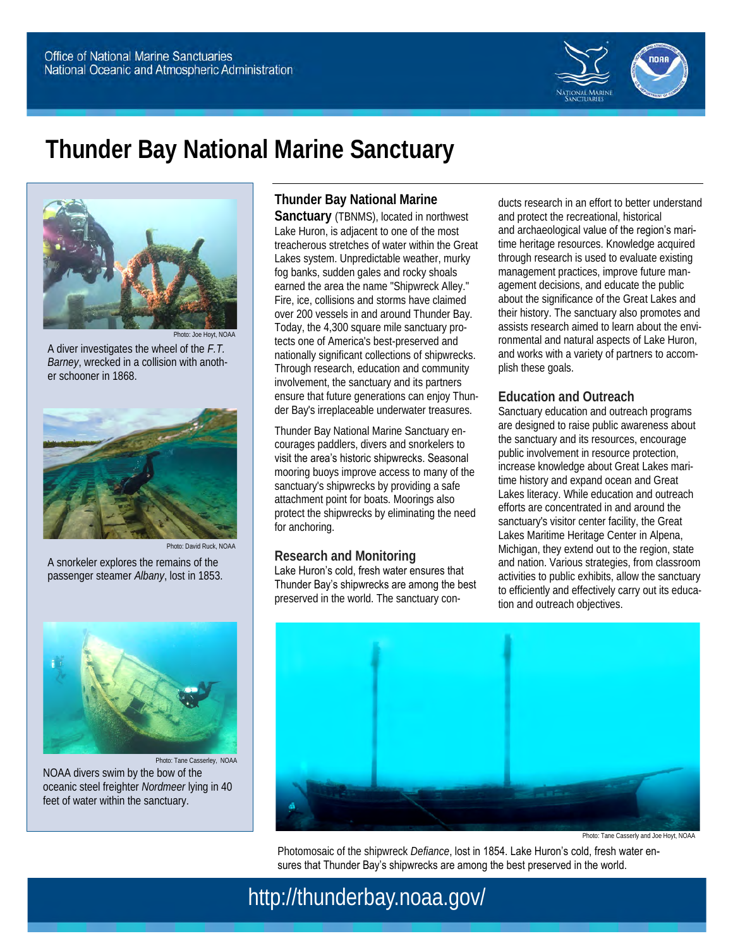

# **Thunder Bay National Marine Sanctuary**



Photo: Joe Hoyt, NOAA A diver investigates the wheel of the *F.T. Barney*, wrecked in a collision with another schooner in 1868.



passenger steamer *Albany*, lost in 1853.

A snorkeler explores the remains of the



Photo: Tane Casserley, NOAA NOAA divers swim by the bow of the oceanic steel freighter *Nordmeer* lying in 40 feet of water within the sanctuary.

#### **Thunder Bay National Marine**

**Sanctuary** (TBNMS), located in northwest Lake Huron, is adjacent to one of the most treacherous stretches of water within the Great Lakes system. Unpredictable weather, murky fog banks, sudden gales and rocky shoals earned the area the name "Shipwreck Alley." Fire, ice, collisions and storms have claimed over 200 vessels in and around Thunder Bay. Today, the 4,300 square mile sanctuary protects one of America's best-preserved and nationally significant collections of shipwrecks. Through research, education and community involvement, the sanctuary and its partners ensure that future generations can enjoy Thunder Bay's irreplaceable underwater treasures.

Thunder Bay National Marine Sanctuary encourages paddlers, divers and snorkelers to visit the area's historic shipwrecks. Seasonal mooring buoys improve access to many of the sanctuary's shipwrecks by providing a safe attachment point for boats. Moorings also protect the shipwrecks by eliminating the need for anchoring.

#### **Research and Monitoring**

Lake Huron's cold, fresh water ensures that Thunder Bay's shipwrecks are among the best preserved in the world. The sanctuary conducts research in an effort to better understand and protect the recreational, historical and archaeological value of the region's maritime heritage resources. Knowledge acquired through research is used to evaluate existing management practices, improve future management decisions, and educate the public about the significance of the Great Lakes and their history. The sanctuary also promotes and assists research aimed to learn about the environmental and natural aspects of Lake Huron, and works with a variety of partners to accomplish these goals.

#### **Education and Outreach**

Sanctuary education and outreach programs are designed to raise public awareness about the sanctuary and its resources, encourage public involvement in resource protection, increase knowledge about Great Lakes maritime history and expand ocean and Great Lakes literacy. While education and outreach efforts are concentrated in and around the sanctuary's visitor center facility, the Great Lakes Maritime Heritage Center in Alpena, Michigan, they extend out to the region, state and nation. Various strategies, from classroom activities to public exhibits, allow the sanctuary to efficiently and effectively carry out its education and outreach objectives.



Photo: Tane Casserly and Joe Hoyt, NOAA

Photomosaic of the shipwreck *Defiance*, lost in 1854. Lake Huron's cold, fresh water ensures that Thunder Bay's shipwrecks are among the best preserved in the world.

http://thunderbay.noaa.gov/